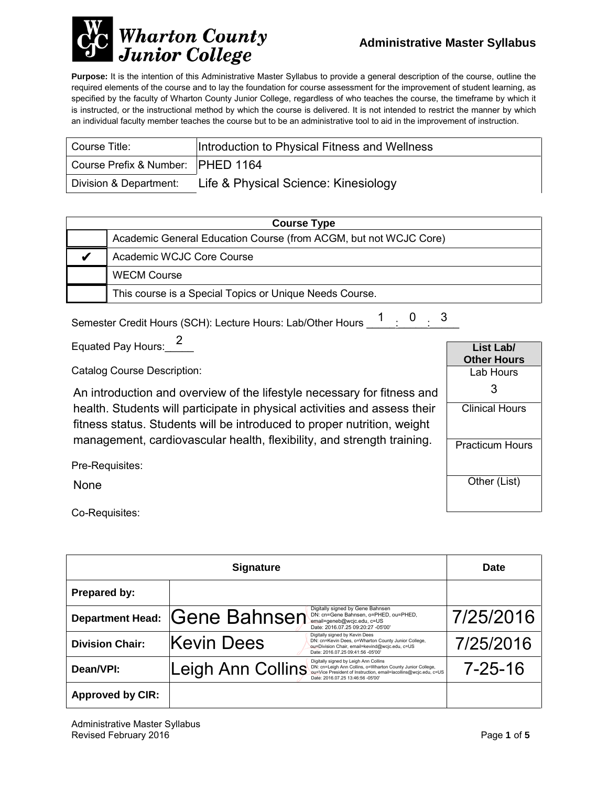

**Purpose:** It is the intention of this Administrative Master Syllabus to provide a general description of the course, outline the required elements of the course and to lay the foundation for course assessment for the improvement of student learning, as specified by the faculty of Wharton County Junior College, regardless of who teaches the course, the timeframe by which it is instructed, or the instructional method by which the course is delivered. It is not intended to restrict the manner by which an individual faculty member teaches the course but to be an administrative tool to aid in the improvement of instruction.

| Course Title:                     | Introduction to Physical Fitness and Wellness |
|-----------------------------------|-----------------------------------------------|
| Course Prefix & Number: PHED 1164 |                                               |
| Division & Department:            | Life & Physical Science: Kinesiology          |

| <b>Course Type</b> |                                                                  |  |
|--------------------|------------------------------------------------------------------|--|
|                    | Academic General Education Course (from ACGM, but not WCJC Core) |  |
|                    | Academic WCJC Core Course                                        |  |
|                    | <b>WECM Course</b>                                               |  |
|                    | This course is a Special Topics or Unique Needs Course.          |  |

Semester Credit Hours (SCH): Lecture Hours: Lab/Other Hours  $\begin{array}{ccc} 1 & 0 & 3 \ \end{array}$ 

Equated Pay Hours: 2

Catalog Course Description:

An introduction and overview of the lifestyle necessary for fitness and<br>health. Students will participate in physical activities and assess their<br>fitness status. Students will be introduced to proper nutrition, weight<br>mana health. Students will participate in physical activities and assess their fitness status. Students will be introduced to proper nutrition, weight

| List Lab/              |  |  |
|------------------------|--|--|
| <b>Other Hours</b>     |  |  |
| Lab Hours              |  |  |
| 3                      |  |  |
| <b>Clinical Hours</b>  |  |  |
| <b>Practicum Hours</b> |  |  |
| Other (List)           |  |  |

Pre-Requisites:

None

Co-Requisites:

| <b>Signature</b>        |                     |                                                                                                                                                                                                              | <b>Date</b>   |
|-------------------------|---------------------|--------------------------------------------------------------------------------------------------------------------------------------------------------------------------------------------------------------|---------------|
| Prepared by:            |                     |                                                                                                                                                                                                              |               |
| <b>Department Head:</b> | <b>Gene Bahnsen</b> | Digitally signed by Gene Bahnsen<br>DN: cn=Gene Bahnsen, o=PHED, ou=PHED,<br>email=geneb@wcjc.edu, c=US<br>Date: 2016.07.25 09:20:27 -05'00'                                                                 | 7/25/2016     |
| <b>Division Chair:</b>  | Kevin Dees          | Digitally signed by Kevin Dees<br>DN: cn=Kevin Dees, o=Wharton County Junior College,<br>ou=Division Chair, email=kevind@wcjc.edu, c=US<br>Date: 2016.07.25 09:41:56 -05'00'                                 | 7/25/2016     |
| Dean/VPI:               | Leigh Ann Collins   | Digitally signed by Leigh Ann Collins<br>DN: cn=Leigh Ann Collins, o=Wharton County Junior College,<br>ou=Vice President of Instruction, email=lacollins@wcjc.edu, c=US<br>Date: 2016.07.25 13:46:56 -05'00' | $7 - 25 - 16$ |
| <b>Approved by CIR:</b> |                     |                                                                                                                                                                                                              |               |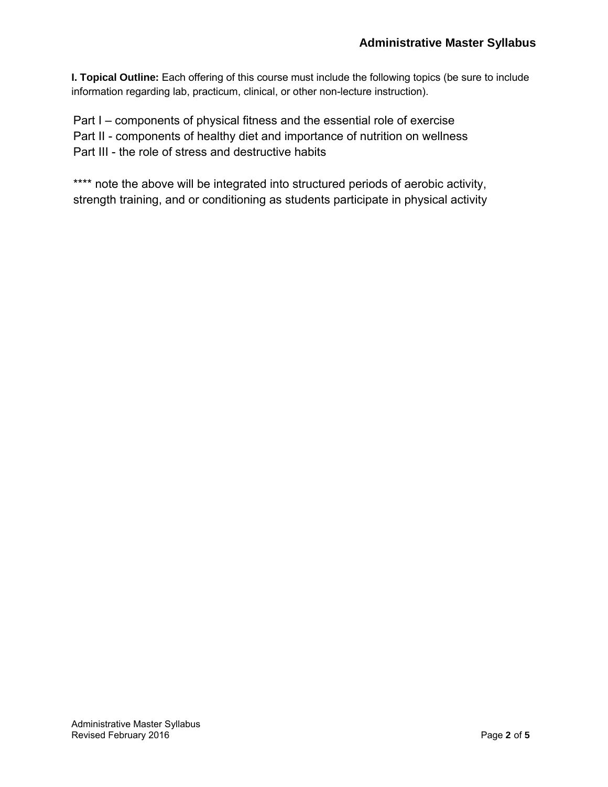**I. Topical Outline:** Each offering of this course must include the following topics (be sure to include information regarding lab, practicum, clinical, or other non-lecture instruction).

Part I – components of physical fitness and the essential role of exercise Part II - components of healthy diet and importance of nutrition on wellness Part III - the role of stress and destructive habits

\*\*\*\* note the above will be integrated into structured periods of aerobic activity, strength training, and or conditioning as students participate in physical activity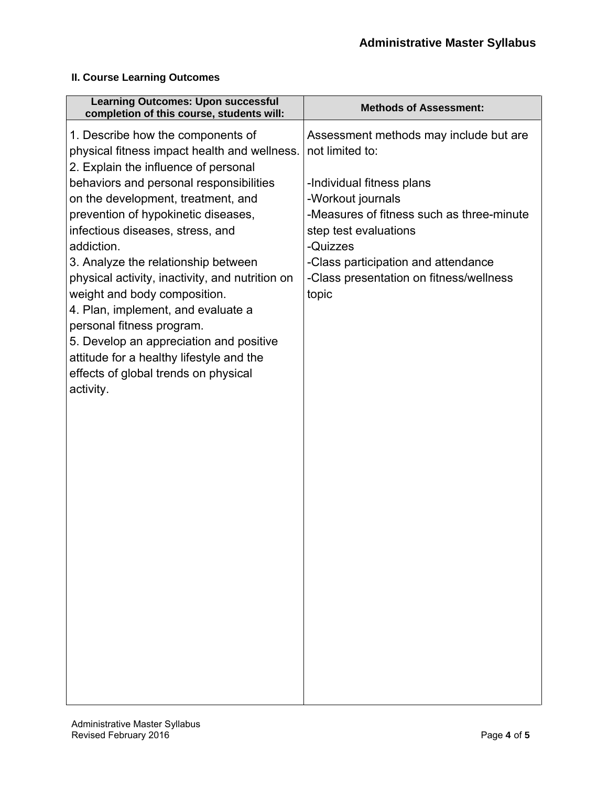## **II. Course Learning Outcomes**

| <b>Learning Outcomes: Upon successful</b><br>completion of this course, students will:                                                                                                                                                                                                                                                                                                                                                                                                                                                                                                                                                       | <b>Methods of Assessment:</b>                                                                                                                                                                                                                                                            |
|----------------------------------------------------------------------------------------------------------------------------------------------------------------------------------------------------------------------------------------------------------------------------------------------------------------------------------------------------------------------------------------------------------------------------------------------------------------------------------------------------------------------------------------------------------------------------------------------------------------------------------------------|------------------------------------------------------------------------------------------------------------------------------------------------------------------------------------------------------------------------------------------------------------------------------------------|
| 1. Describe how the components of<br>physical fitness impact health and wellness.<br>2. Explain the influence of personal<br>behaviors and personal responsibilities<br>on the development, treatment, and<br>prevention of hypokinetic diseases,<br>infectious diseases, stress, and<br>addiction.<br>3. Analyze the relationship between<br>physical activity, inactivity, and nutrition on<br>weight and body composition.<br>4. Plan, implement, and evaluate a<br>personal fitness program.<br>5. Develop an appreciation and positive<br>attitude for a healthy lifestyle and the<br>effects of global trends on physical<br>activity. | Assessment methods may include but are<br>not limited to:<br>-Individual fitness plans<br>-Workout journals<br>-Measures of fitness such as three-minute<br>step test evaluations<br>-Quizzes<br>-Class participation and attendance<br>-Class presentation on fitness/wellness<br>topic |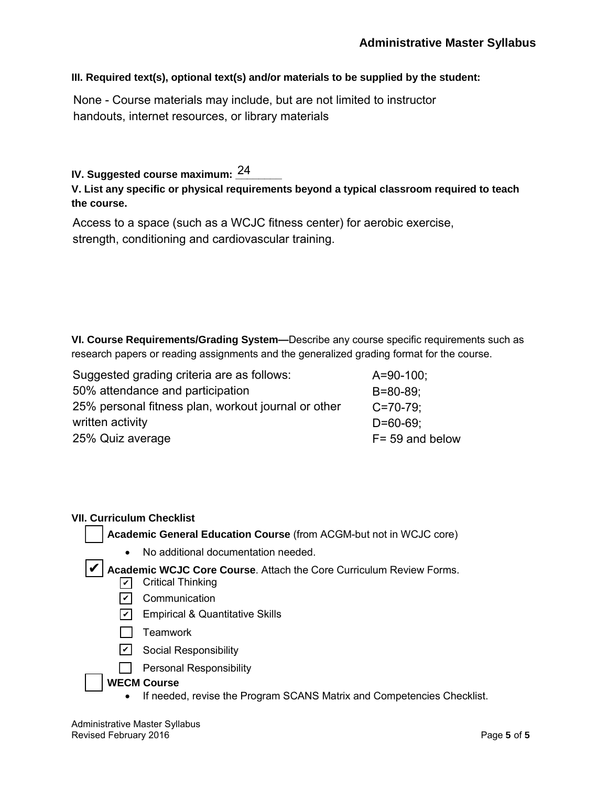#### **III. Required text(s), optional text(s) and/or materials to be supplied by the student:**

None - Course materials may include, but are not limited to instructor handouts, internet resources, or library materials

## IV. Suggested course maximum: <u><sup>24</sup>\_\_\_\_\_</u>

### **V. List any specific or physical requirements beyond a typical classroom required to teach the course.**

Access to a space (such as a WCJC fitness center) for aerobic exercise, strength, conditioning and cardiovascular training.

**VI. Course Requirements/Grading System—**Describe any course specific requirements such as research papers or reading assignments and the generalized grading format for the course.

| Suggested grading criteria are as follows:          | $A = 90 - 100$ ;   |
|-----------------------------------------------------|--------------------|
| 50% attendance and participation                    | $B = 80 - 89$ ;    |
| 25% personal fitness plan, workout journal or other | $C = 70 - 79$ ;    |
| written activity                                    | $D = 60 - 69$ ;    |
| 25% Quiz average                                    | $F = 59$ and below |

#### **VII. Curriculum Checklist**

**Academic General Education Course** (from ACGM-but not in WCJC core)

• No additional documentation needed.

✔ Academic WCJC Core Course. Attach the Core Curriculum Review Forms.

- ✔ Critical Thinking
- <u>✔</u> Communication
- <u>✔</u> Empirical & Quantitative Skills
- $\Box$  Teamwork
- <u>✔</u> Social Responsibility
- $\Box$  Personal Responsibility

### **WECM Course**

• If needed, revise the Program SCANS Matrix and Competencies Checklist.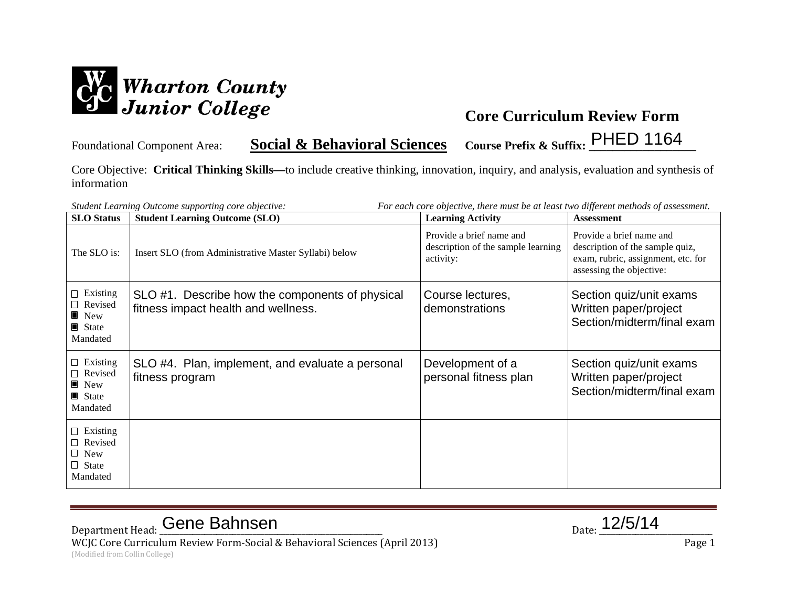

Foundational Component Area: **Social & Behavioral Sciences Course Prefix & Suffix: \_\_\_\_\_\_\_\_\_\_\_\_\_\_\_\_\_\_** PHED 1164

Core Objective: **Critical Thinking Skills—**to include creative thinking, innovation, inquiry, and analysis, evaluation and synthesis of information

| For each core objective, there must be at least two different methods of assessment.<br>Student Learning Outcome supporting core objective: |                                                                                        |                                                                             |                                                                                                                               |
|---------------------------------------------------------------------------------------------------------------------------------------------|----------------------------------------------------------------------------------------|-----------------------------------------------------------------------------|-------------------------------------------------------------------------------------------------------------------------------|
| <b>SLO</b> Status                                                                                                                           | <b>Student Learning Outcome (SLO)</b>                                                  | <b>Learning Activity</b>                                                    | <b>Assessment</b>                                                                                                             |
| The SLO is:                                                                                                                                 | Insert SLO (from Administrative Master Syllabi) below                                  | Provide a brief name and<br>description of the sample learning<br>activity: | Provide a brief name and<br>description of the sample quiz,<br>exam, rubric, assignment, etc. for<br>assessing the objective: |
| $\Box$ Existing<br>Revised<br>$\blacksquare$ New<br>State<br>Mandated                                                                       | SLO #1. Describe how the components of physical<br>fitness impact health and wellness. | Course lectures,<br>demonstrations                                          | Section quiz/unit exams<br>Written paper/project<br>Section/midterm/final exam                                                |
| $\Box$ Existing<br>Revised<br>$\blacksquare$ New<br>$\blacksquare$ State<br>Mandated                                                        | SLO #4. Plan, implement, and evaluate a personal<br>fitness program                    | Development of a<br>personal fitness plan                                   | Section quiz/unit exams<br>Written paper/project<br>Section/midterm/final exam                                                |
| $\Box$ Existing<br>□ Revised<br>$\Box$ New<br>$\Box$ State<br>Mandated                                                                      |                                                                                        |                                                                             |                                                                                                                               |

# Department Head: Cene Bahnsen and Date: 12/5/14

WCJC Core Curriculum Review Form-Social & Behavioral Sciences (April 2013) Page 1 (Modified from Collin College)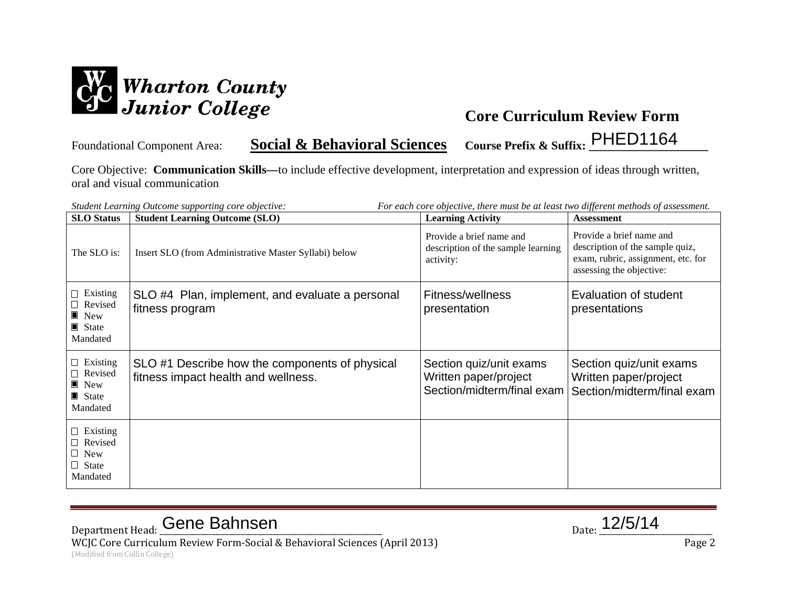

Foundational Component Area: **Social & Behavioral Sciences Course Prefix & Suffix: \_\_\_\_\_\_\_\_\_\_\_\_\_\_\_\_\_\_\_\_** PHED1164

Core Objective: **Communication Skills—**to include effective development, interpretation and expression of ideas through written, oral and visual communication

| For each core objective, there must be at least two different methods of assessment.<br>Student Learning Outcome supporting core objective: |                                                                                       |                                                                                |                                                                                                                               |
|---------------------------------------------------------------------------------------------------------------------------------------------|---------------------------------------------------------------------------------------|--------------------------------------------------------------------------------|-------------------------------------------------------------------------------------------------------------------------------|
| <b>SLO</b> Status                                                                                                                           | <b>Student Learning Outcome (SLO)</b>                                                 | <b>Learning Activity</b>                                                       | <b>Assessment</b>                                                                                                             |
| The SLO is:                                                                                                                                 | Insert SLO (from Administrative Master Syllabi) below                                 | Provide a brief name and<br>description of the sample learning<br>activity:    | Provide a brief name and<br>description of the sample quiz,<br>exam, rubric, assignment, etc. for<br>assessing the objective: |
| $\Box$ Existing<br>$\Box$ Revised<br>$\blacksquare$ New<br>■ State<br>Mandated                                                              | SLO #4 Plan, implement, and evaluate a personal<br>fitness program                    | Fitness/wellness<br>presentation                                               | Evaluation of student<br>presentations                                                                                        |
| $\Box$ Existing<br>Revised<br>$\blacksquare$ New<br>$\blacksquare$ State<br>Mandated                                                        | SLO #1 Describe how the components of physical<br>fitness impact health and wellness. | Section quiz/unit exams<br>Written paper/project<br>Section/midterm/final exam | Section quiz/unit exams<br>Written paper/project<br>Section/midterm/final exam                                                |
| $\Box$ Existing<br>□ Revised<br>$\Box$ New<br>$\Box$ State<br>Mandated                                                                      |                                                                                       |                                                                                |                                                                                                                               |

# Department Head: Cene Bahnsen and Date: 12/5/14

WCJC Core Curriculum Review Form-Social & Behavioral Sciences (April 2013) Page 2 (Modified from Collin College)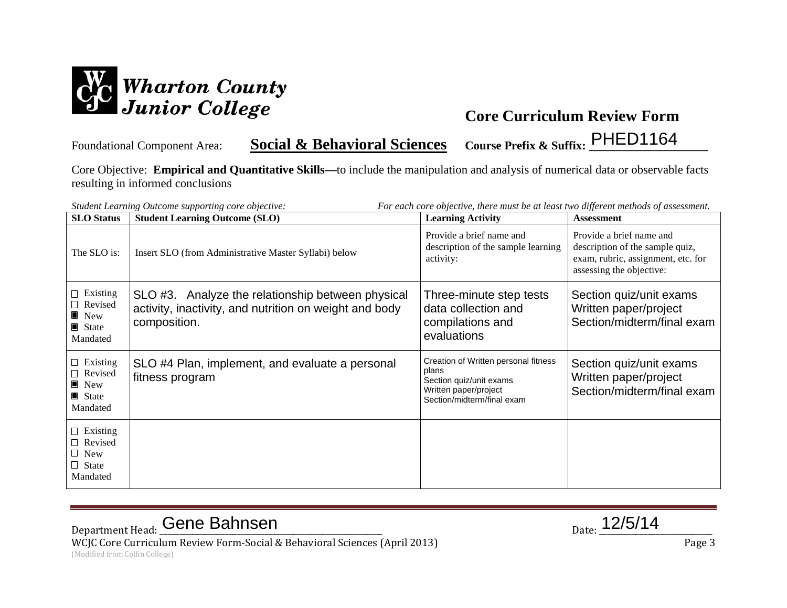

Foundational Component Area: **Social & Behavioral Sciences Course Prefix & Suffix: \_\_\_\_\_\_\_\_\_\_\_\_\_\_\_\_\_\_\_\_** PHED1164

Core Objective: **Empirical and Quantitative Skills—**to include the manipulation and analysis of numerical data or observable facts resulting in informed conclusions

| For each core objective, there must be at least two different methods of assessment.<br>Student Learning Outcome supporting core objective: |                                                                                                                             |                                                                                                                                 |                                                                                                                               |
|---------------------------------------------------------------------------------------------------------------------------------------------|-----------------------------------------------------------------------------------------------------------------------------|---------------------------------------------------------------------------------------------------------------------------------|-------------------------------------------------------------------------------------------------------------------------------|
| <b>SLO</b> Status                                                                                                                           | <b>Student Learning Outcome (SLO)</b>                                                                                       | <b>Learning Activity</b>                                                                                                        | <b>Assessment</b>                                                                                                             |
| The SLO is:                                                                                                                                 | Insert SLO (from Administrative Master Syllabi) below                                                                       | Provide a brief name and<br>description of the sample learning<br>activity:                                                     | Provide a brief name and<br>description of the sample quiz,<br>exam, rubric, assignment, etc. for<br>assessing the objective: |
| $\Box$ Existing<br>$\Box$ Revised<br>$\blacksquare$ New<br>$\blacksquare$ State<br>Mandated                                                 | SLO #3. Analyze the relationship between physical<br>activity, inactivity, and nutrition on weight and body<br>composition. | Three-minute step tests<br>data collection and<br>compilations and<br>evaluations                                               | Section quiz/unit exams<br>Written paper/project<br>Section/midterm/final exam                                                |
| $\Box$ Existing<br>$\Box$ Revised<br>$\blacksquare$ New<br>$\blacksquare$ State<br>Mandated                                                 | SLO #4 Plan, implement, and evaluate a personal<br>fitness program                                                          | Creation of Written personal fitness<br>plans<br>Section quiz/unit exams<br>Written paper/project<br>Section/midterm/final exam | Section quiz/unit exams<br>Written paper/project<br>Section/midterm/final exam                                                |
| $\Box$ Existing<br>$\Box$ Revised<br>$\Box$ New<br>$\Box$ State<br>Mandated                                                                 |                                                                                                                             |                                                                                                                                 |                                                                                                                               |

# Department Head: Cene Bahnsen and Date: 12/5/14

WCJC Core Curriculum Review Form-Social & Behavioral Sciences (April 2013) Page 3 (Modified from Collin College)